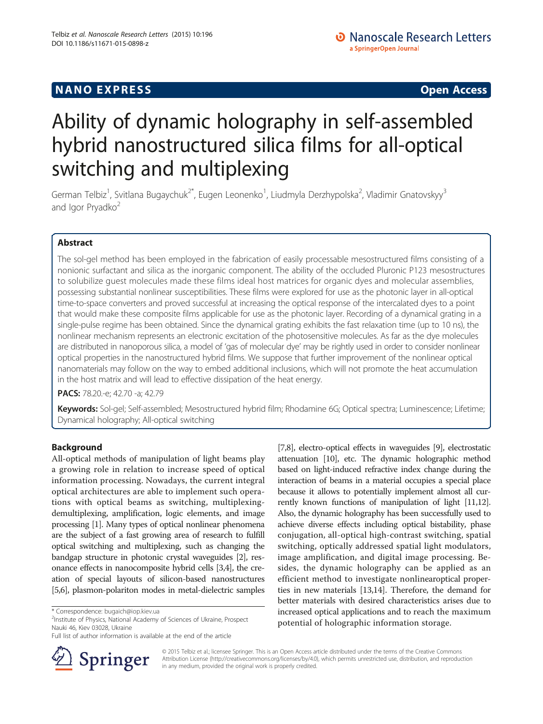# **NANO EXPRESS** Open Access **CONTROL**

# Ability of dynamic holography in self-assembled hybrid nanostructured silica films for all-optical switching and multiplexing

German Telbiz<sup>1</sup>, Svitlana Bugaychuk<sup>2\*</sup>, Eugen Leonenko<sup>1</sup>, Liudmyla Derzhypolska<sup>2</sup>, Vladimir Gnatovskyy<sup>3</sup> and Igor Pryadko<sup>2</sup>

# Abstract

The sol-gel method has been employed in the fabrication of easily processable mesostructured films consisting of a nonionic surfactant and silica as the inorganic component. The ability of the occluded Pluronic P123 mesostructures to solubilize guest molecules made these films ideal host matrices for organic dyes and molecular assemblies, possessing substantial nonlinear susceptibilities. These films were explored for use as the photonic layer in all-optical time-to-space converters and proved successful at increasing the optical response of the intercalated dyes to a point that would make these composite films applicable for use as the photonic layer. Recording of a dynamical grating in a single-pulse regime has been obtained. Since the dynamical grating exhibits the fast relaxation time (up to 10 ns), the nonlinear mechanism represents an electronic excitation of the photosensitive molecules. As far as the dye molecules are distributed in nanoporous silica, a model of 'gas of molecular dye' may be rightly used in order to consider nonlinear optical properties in the nanostructured hybrid films. We suppose that further improvement of the nonlinear optical nanomaterials may follow on the way to embed additional inclusions, which will not promote the heat accumulation in the host matrix and will lead to effective dissipation of the heat energy.

**PACS:** 78.20.-е; 42.70 -а; 42.79

Keywords: Sol-gel; Self-assembled; Mesostructured hybrid film; Rhodamine 6G; Optical spectra; Luminescence; Lifetime; Dynamical holography; All-optical switching

# Background

All-optical methods of manipulation of light beams play a growing role in relation to increase speed of optical information processing. Nowadays, the current integral optical architectures are able to implement such operations with optical beams as switching, multiplexingdemultiplexing, amplification, logic elements, and image processing [[1](#page-5-0)]. Many types of optical nonlinear phenomena are the subject of a fast growing area of research to fulfill optical switching and multiplexing, such as changing the bandgap structure in photonic crystal waveguides [\[2\]](#page-5-0), resonance effects in nanocomposite hybrid cells [\[3,4\]](#page-5-0), the creation of special layouts of silicon-based nanostructures [[5,6](#page-5-0)], plasmon-polariton modes in metal-dielectric samples

Full list of author information is available at the end of the article



[[7,8](#page-5-0)], electro-optical effects in waveguides [\[9\]](#page-5-0), electrostatic attenuation [[10](#page-5-0)], etc. The dynamic holographic method based on light-induced refractive index change during the interaction of beams in a material occupies a special place because it allows to potentially implement almost all currently known functions of manipulation of light [[11,12](#page-5-0)]. Also, the dynamic holography has been successfully used to achieve diverse effects including optical bistability, phase conjugation, all-optical high-contrast switching, spatial switching, optically addressed spatial light modulators, image amplification, and digital image processing. Besides, the dynamic holography can be applied as an efficient method to investigate nonlinearoptical properties in new materials [\[13,14](#page-5-0)]. Therefore, the demand for better materials with desired characteristics arises due to increased optical applications and to reach the maximum potential of holographic information storage.

© 2015 Telbiz et al.; licensee Springer. This is an Open Access article distributed under the terms of the Creative Commons Attribution License [\(http://creativecommons.org/licenses/by/4.0\)](http://creativecommons.org/licenses/by/4.0), which permits unrestricted use, distribution, and reproduction in any medium, provided the original work is properly credited.

<sup>\*</sup> Correspondence: [bugaich@iop.kiev.ua](mailto:bugaich@iop.kiev.ua) <sup>2</sup>

<sup>&</sup>lt;sup>2</sup>Institute of Physics, National Academy of Sciences of Ukraine, Prospect Nauki 46, Kiev 03028, Ukraine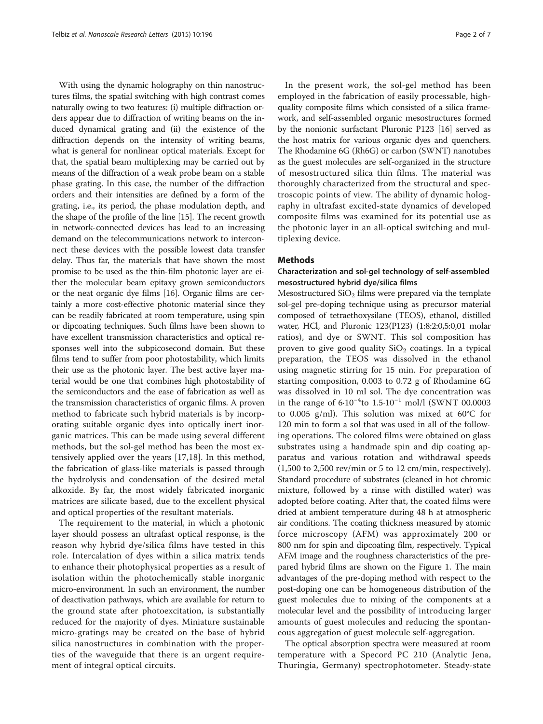With using the dynamic holography on thin nanostructures films, the spatial switching with high contrast comes naturally owing to two features: (i) multiple diffraction orders appear due to diffraction of writing beams on the induced dynamical grating and (ii) the existence of the diffraction depends on the intensity of writing beams, what is general for nonlinear optical materials. Except for that, the spatial beam multiplexing may be carried out by means of the diffraction of a weak probe beam on a stable phase grating. In this case, the number of the diffraction orders and their intensities are defined by a form of the grating, i.e., its period, the phase modulation depth, and the shape of the profile of the line [\[15\]](#page-5-0). The recent growth in network-connected devices has lead to an increasing demand on the telecommunications network to interconnect these devices with the possible lowest data transfer delay. Thus far, the materials that have shown the most promise to be used as the thin-film photonic layer are either the molecular beam epitaxy grown semiconductors or the neat organic dye films [\[16\]](#page-5-0). Organic films are certainly a more cost-effective photonic material since they can be readily fabricated at room temperature, using spin or dipcoating techniques. Such films have been shown to have excellent transmission characteristics and optical responses well into the subpicosecond domain. But these films tend to suffer from poor photostability, which limits their use as the photonic layer. The best active layer material would be one that combines high photostability of the semiconductors and the ease of fabrication as well as the transmission characteristics of organic films. A proven method to fabricate such hybrid materials is by incorporating suitable organic dyes into optically inert inorganic matrices. This can be made using several different methods, but the sol-gel method has been the most extensively applied over the years [[17,18](#page-5-0)]. In this method, the fabrication of glass-like materials is passed through the hydrolysis and condensation of the desired metal alkoxide. By far, the most widely fabricated inorganic matrices are silicate based, due to the excellent physical and optical properties of the resultant materials.

The requirement to the material, in which a photonic layer should possess an ultrafast optical response, is the reason why hybrid dye/silica films have tested in this role. Intercalation of dyes within a silica matrix tends to enhance their photophysical properties as a result of isolation within the photochemically stable inorganic micro-environment. In such an environment, the number of deactivation pathways, which are available for return to the ground state after photoexcitation, is substantially reduced for the majority of dyes. Miniature sustainable micro-gratings may be created on the base of hybrid silica nanostructures in combination with the properties of the waveguide that there is an urgent requirement of integral optical circuits.

In the present work, the sol-gel method has been employed in the fabrication of easily processable, highquality composite films which consisted of a silica framework, and self-assembled organic mesostructures formed by the nonionic surfactant Pluronic P123 [[16](#page-5-0)] served as the host matrix for various organic dyes and quenchers. The Rhodamine 6G (Rh6G) or carbon (SWNT) nanotubes as the guest molecules are self-organized in the structure of mesostructured silica thin films. The material was thoroughly characterized from the structural and spectroscopic points of view. The ability of dynamic holography in ultrafast excited-state dynamics of developed composite films was examined for its potential use as the photonic layer in an all-optical switching and multiplexing device.

### **Methods**

## Characterization and sol-gel technology of self-assembled mesostructured hybrid dye/silica films

Mesostructured  $SiO<sub>2</sub>$  films were prepared via the template sol-gel pre-doping technique using as precursor material composed of tetraethoxysilane (TEOS), ethanol, distilled water, HCl, and Pluronic 123(P123) (1:8:2:0,5:0,01 molar ratios), and dye or SWNT. This sol composition has proven to give good quality  $SiO<sub>2</sub>$  coatings. In a typical preparation, the TEOS was dissolved in the ethanol using magnetic stirring for 15 min. For preparation of starting composition, 0.003 to 0.72 g of Rhodamine 6G was dissolved in 10 ml sol. The dye concentration was in the range of 6·10−<sup>4</sup> to 1.5·10−<sup>1</sup> mol/l (SWNT 00.0003 to 0.005 g/ml). This solution was mixed at 60°C for 120 min to form a sol that was used in all of the following operations. The colored films were obtained on glass substrates using a handmade spin and dip coating apparatus and various rotation and withdrawal speeds (1,500 to 2,500 rev/min or 5 to 12 cm/min, respectively). Standard procedure of substrates (cleaned in hot chromic mixture, followed by a rinse with distilled water) was adopted before coating. After that, the coated films were dried at ambient temperature during 48 h at atmospheric air conditions. The coating thickness measured by atomic force microscopy (AFM) was approximately 200 or 800 nm for spin and dipcoating film, respectively. Typical AFM image and the roughness characteristics of the prepared hybrid films are shown on the Figure [1](#page-2-0). The main advantages of the pre-doping method with respect to the post-doping one can be homogeneous distribution of the guest molecules due to mixing of the components at a molecular level and the possibility of introducing larger amounts of guest molecules and reducing the spontaneous aggregation of guest molecule self-aggregation.

The optical absorption spectra were measured at room temperature with a Specord PC 210 (Analytic Jena, Thuringia, Germany) spectrophotometer. Steady-state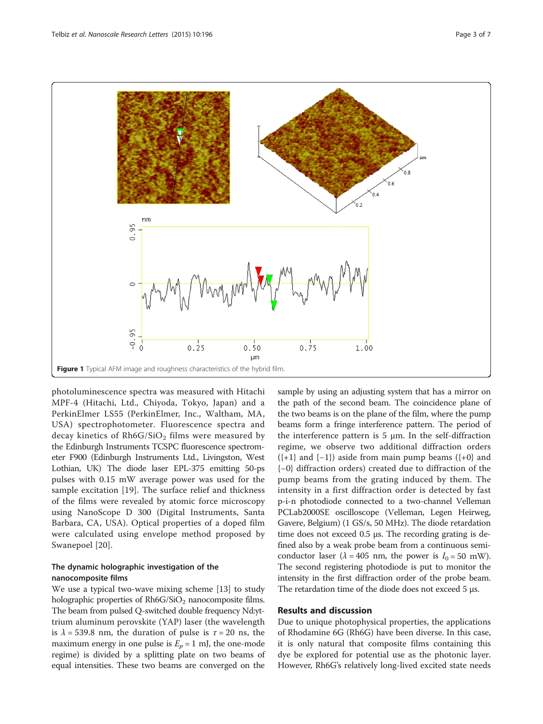<span id="page-2-0"></span>

photoluminescence spectra was measured with Hitachi MPF-4 (Hitachi, Ltd., Chiyoda, Tokyo, Japan) and a PerkinElmer LS55 (PerkinElmer, Inc., Waltham, MA, USA) spectrophotometer. Fluorescence spectra and decay kinetics of  $Rh6G/SiO<sub>2</sub>$  films were measured by the Edinburgh Instruments TCSPC fluorescence spectrometer F900 (Edinburgh Instruments Ltd., Livingston, West Lothian, UK) The diode laser EPL-375 emitting 50-ps pulses with 0.15 mW average power was used for the sample excitation [[19\]](#page-6-0). The surface relief and thickness of the films were revealed by atomic force microscopy using NanoScope D 300 (Digital Instruments, Santa Barbara, CA, USA). Optical properties of a doped film were calculated using envelope method proposed by Swanepoel [[20\]](#page-6-0).

# The dynamic holographic investigation of the nanocomposite films

We use a typical two-wave mixing scheme [\[13](#page-5-0)] to study holographic properties of  $Rh6G/SiO<sub>2</sub>$  nanocomposite films. The beam from pulsed Q-switched double frequency Nd:yttrium aluminum perovskite (YAP) laser (the wavelength is  $\lambda$  = 539.8 nm, the duration of pulse is  $\tau$  = 20 ns, the maximum energy in one pulse is  $E_p = 1$  mJ, the one-mode regime) is divided by a splitting plate on two beams of equal intensities. These two beams are converged on the

sample by using an adjusting system that has a mirror on the path of the second beam. The coincidence plane of the two beams is on the plane of the film, where the pump beams form a fringe interference pattern. The period of the interference pattern is  $5 \mu$ m. In the self-diffraction regime, we observe two additional diffraction orders  $({+1}$  and  ${-1}$ ) aside from main pump beams  $({+0}$  and {−0} diffraction orders) created due to diffraction of the pump beams from the grating induced by them. The intensity in a first diffraction order is detected by fast p-i-n photodiode connected to a two-channel Velleman PCLab2000SE oscilloscope (Velleman, Legen Heirweg, Gavere, Belgium) (1 GS/s, 50 MHz). The diode retardation time does not exceed 0.5 μs. The recording grating is defined also by a weak probe beam from a continuous semiconductor laser ( $\lambda$  = 405 nm, the power is  $I_0$  = 50 mW). The second registering photodiode is put to monitor the intensity in the first diffraction order of the probe beam. The retardation time of the diode does not exceed 5 μs.

### Results and discussion

Due to unique photophysical properties, the applications of Rhodamine 6G (Rh6G) have been diverse. In this case, it is only natural that composite films containing this dye be explored for potential use as the photonic layer. However, Rh6G's relatively long-lived excited state needs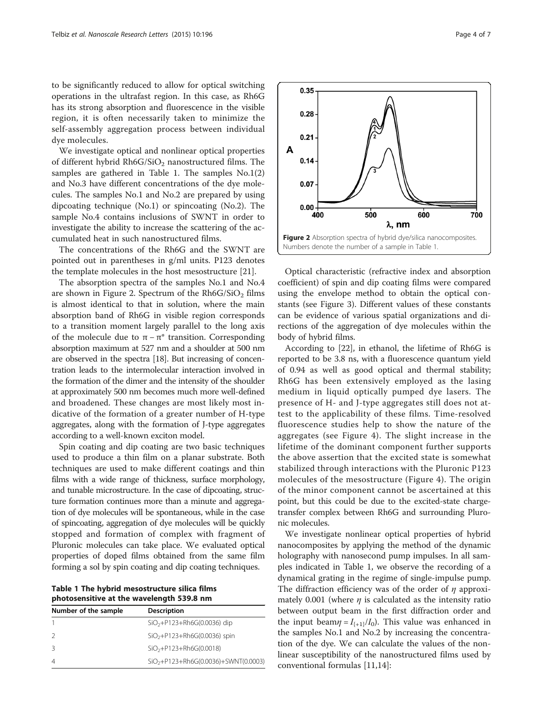to be significantly reduced to allow for optical switching operations in the ultrafast region. In this case, as Rh6G has its strong absorption and fluorescence in the visible region, it is often necessarily taken to minimize the self-assembly aggregation process between individual dye molecules.

We investigate optical and nonlinear optical properties of different hybrid  $Rh6G/SiO<sub>2</sub>$  nanostructured films. The samples are gathered in Table 1. The samples No.1(2) and No.3 have different concentrations of the dye molecules. The samples No.1 and No.2 are prepared by using dipcoating technique (No.1) or spincoating (No.2). The sample No.4 contains inclusions of SWNT in order to investigate the ability to increase the scattering of the accumulated heat in such nanostructured films.

The concentrations of the Rh6G and the SWNT are pointed out in parentheses in g/ml units. P123 denotes the template molecules in the host mesostructure [\[21](#page-6-0)].

The absorption spectra of the samples No.1 and No.4 are shown in Figure 2. Spectrum of the  $Rh6G/SiO<sub>2</sub>$  films is almost identical to that in solution, where the main absorption band of Rh6G in visible region corresponds to a transition moment largely parallel to the long axis of the molecule due to  $π - π$ <sup>\*</sup> transition. Corresponding absorption maximum at 527 nm and a shoulder at 500 nm are observed in the spectra [[18](#page-5-0)]. But increasing of concentration leads to the intermolecular interaction involved in the formation of the dimer and the intensity of the shoulder at approximately 500 nm becomes much more well-defined and broadened. These changes are most likely most indicative of the formation of a greater number of H-type aggregates, along with the formation of J-type aggregates according to a well-known exciton model.

Spin coating and dip coating are two basic techniques used to produce a thin film on a planar substrate. Both techniques are used to make different coatings and thin films with a wide range of thickness, surface morphology, and tunable microstructure. In the case of dipcoating, structure formation continues more than a minute and aggregation of dye molecules will be spontaneous, while in the case of spincoating, aggregation of dye molecules will be quickly stopped and formation of complex with fragment of Pluronic molecules can take place. We evaluated optical properties of doped films obtained from the same film forming a sol by spin coating and dip coating techniques.

Table 1 The hybrid mesostructure silica films photosensitive at the wavelength 539.8 nm

| Number of the sample | <b>Description</b>                    |
|----------------------|---------------------------------------|
|                      | $SiO2+P123+Rh6G(0.0036)$ dip          |
|                      | $SiO2+P123+Rh6G(0.0036)$ spin         |
|                      | $SiO2+P123+Rh6G(0.0018)$              |
| 4                    | $SiO2+P123+Rh6G(0.0036)+SWNT(0.0003)$ |



 $0.00$ 500 600 400 700  $\lambda$ , nm Figure 2 Absorption spectra of hybrid dye/silica nanocomposites. Numbers denote the number of a sample in Table 1.

0.35

 $0.28$ 

 $0.21$ 

 $0.14$ 

0.07

A

Optical characteristic (refractive index and absorption coefficient) of spin and dip coating films were compared using the envelope method to obtain the optical constants (see Figure [3\)](#page-4-0). Different values of these constants can be evidence of various spatial organizations and directions of the aggregation of dye molecules within the body of hybrid films.

According to [\[22](#page-6-0)], in ethanol, the lifetime of Rh6G is reported to be 3.8 ns, with a fluorescence quantum yield of 0.94 as well as good optical and thermal stability; Rh6G has been extensively employed as the lasing medium in liquid optically pumped dye lasers. The presence of H- and J-type aggregates still does not attest to the applicability of these films. Time-resolved fluorescence studies help to show the nature of the aggregates (see Figure [4\)](#page-4-0). The slight increase in the lifetime of the dominant component further supports the above assertion that the excited state is somewhat stabilized through interactions with the Pluronic P123 molecules of the mesostructure (Figure [4\)](#page-4-0). The origin of the minor component cannot be ascertained at this point, but this could be due to the excited-state chargetransfer complex between Rh6G and surrounding Pluronic molecules.

We investigate nonlinear optical properties of hybrid nanocomposites by applying the method of the dynamic holography with nanosecond pump impulses. In all samples indicated in Table 1, we observe the recording of a dynamical grating in the regime of single-impulse pump. The diffraction efficiency was of the order of  $\eta$  approximately 0.001 (where  $\eta$  is calculated as the intensity ratio between output beam in the first diffraction order and the input beam $\eta = I_{\{+1\}}/I_0$ . This value was enhanced in the samples No.1 and No.2 by increasing the concentration of the dye. We can calculate the values of the nonlinear susceptibility of the nanostructured films used by conventional formulas [\[11,14\]](#page-5-0):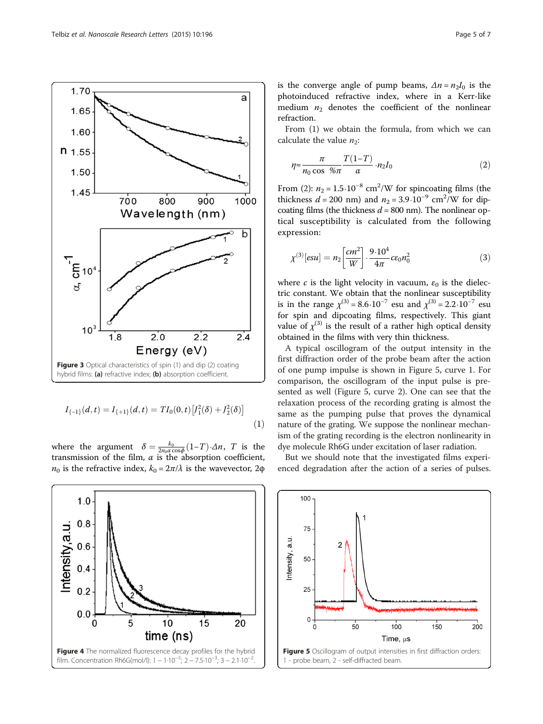<span id="page-4-0"></span>

$$
I_{\{-1\}}(d,t) = I_{\{+1\}}(d,t) = TI_0(0,t)[I_1^2(\delta) + I_2^2(\delta)]
$$
\n(1)

where the argument  $\delta = \frac{k_0}{2n_0\alpha \cos \phi} (1-T) \cdot \Delta n$ , *T* is the transmission of the film, *α* is the absorption coefficient,  $n_0$  is the refractive index,  $k_0 = 2\pi/\lambda$  is the wavevector, 2 $\phi$ 



is the converge angle of pump beams,  $\Delta n = n_2 I_0$  is the photoinduced refractive index, where in a Kerr-like medium  $n_2$  denotes the coefficient of the nonlinear refraction.

From (1) we obtain the formula, from which we can calculate the value  $n_2$ :

$$
\eta \approx \frac{\pi}{n_0 \cos 96\pi} \frac{T(1-T)}{\alpha} \cdot n_2 I_0 \tag{2}
$$

From (2):  $n_2 = 1.5 \cdot 10^{-8}$  cm<sup>2</sup>/W for spincoating films (the thickness  $d = 200$  nm) and  $n_2 = 3.9 \cdot 10^{-9}$  cm<sup>2</sup>/W for dipcoating films (the thickness  $d = 800$  nm). The nonlinear optical susceptibility is calculated from the following expression:

$$
\chi^{(3)}[esu] = n_2 \left[\frac{cm^2}{W}\right] \cdot \frac{9 \cdot 10^4}{4\pi} c \varepsilon_0 n_0^2 \tag{3}
$$

where c is the light velocity in vacuum,  $\varepsilon_0$  is the dielectric constant. We obtain that the nonlinear susceptibility is in the range  $\chi^{(3)} = 8.6 \cdot 10^{-7}$  esu and  $\chi^{(3)} = 2.2 \cdot 10^{-7}$  esu for spin and dipcoating films, respectively. This giant value of  $\chi^{(3)}$  is the result of a rather high optical density obtained in the films with very thin thickness.

A typical oscillogram of the output intensity in the first diffraction order of the probe beam after the action of one pump impulse is shown in Figure 5, curve 1. For comparison, the oscillogram of the input pulse is presented as well (Figure 5, curve 2). One can see that the relaxation process of the recording grating is almost the same as the pumping pulse that proves the dynamical nature of the grating. We suppose the nonlinear mechanism of the grating recording is the electron nonlinearity in dye molecule Rh6G under excitation of laser radiation.

But we should note that the investigated films experienced degradation after the action of a series of pulses.

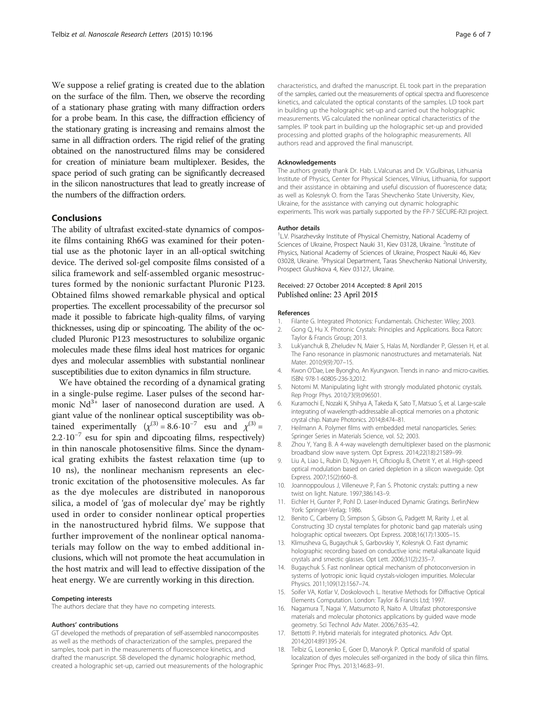<span id="page-5-0"></span>We suppose a relief grating is created due to the ablation on the surface of the film. Then, we observe the recording of a stationary phase grating with many diffraction orders for a probe beam. In this case, the diffraction efficiency of the stationary grating is increasing and remains almost the same in all diffraction orders. The rigid relief of the grating obtained on the nanostructured films may be considered for creation of miniature beam multiplexer. Besides, the space period of such grating can be significantly decreased in the silicon nanostructures that lead to greatly increase of the numbers of the diffraction orders.

#### Conclusions

The ability of ultrafast excited-state dynamics of composite films containing Rh6G was examined for their potential use as the photonic layer in an all-optical switching device. The derived sol-gel composite films consisted of a silica framework and self-assembled organic mesostructures formed by the nonionic surfactant Pluronic P123. Obtained films showed remarkable physical and optical properties. The excellent processability of the precursor sol made it possible to fabricate high-quality films, of varying thicknesses, using dip or spincoating. The ability of the occluded Pluronic P123 mesostructures to solubilize organic molecules made these films ideal host matrices for organic dyes and molecular assemblies with substantial nonlinear susceptibilities due to exiton dynamics in film structure.

We have obtained the recording of a dynamical grating in a single-pulse regime. Laser pulses of the second harmonic  $Nd^{3+}$  laser of nanosecond duration are used. A giant value of the nonlinear optical susceptibility was obtained experimentally  $(x^{(3)} = 8.6 \cdot 10^{-7}$  esu and  $x^{(3)} =$  $2.2 \cdot 10^{-7}$  esu for spin and dipcoating films, respectively) in thin nanoscale photosensitive films. Since the dynamical grating exhibits the fastest relaxation time (up to 10 ns), the nonlinear mechanism represents an electronic excitation of the photosensitive molecules. As far as the dye molecules are distributed in nanoporous silica, a model of 'gas of molecular dye' may be rightly used in order to consider nonlinear optical properties in the nanostructured hybrid films. We suppose that further improvement of the nonlinear optical nanomaterials may follow on the way to embed additional inclusions, which will not promote the heat accumulation in the host matrix and will lead to effective dissipation of the heat energy. We are currently working in this direction.

#### Competing interests

The authors declare that they have no competing interests.

#### Authors' contributions

GT developed the methods of preparation of self-assembled nanocomposites as well as the methods of characterization of the samples, prepared the samples, took part in the measurements of fluorescence kinetics, and drafted the manuscript. SB developed the dynamic holographic method, created a holographic set-up, carried out measurements of the holographic characteristics, and drafted the manuscript. EL took part in the preparation of the samples, carried out the measurements of optical spectra and fluorescence kinetics, and calculated the optical constants of the samples. LD took part in building up the holographic set-up and carried out the holographic measurements. VG calculated the nonlinear optical characteristics of the samples. IP took part in building up the holographic set-up and provided processing and plotted graphs of the holographic measurements. All authors read and approved the final manuscript.

#### Acknowledgements

The authors greatly thank Dr. Hab. L.Valcunas and Dr. V.Gulbinas, Lithuania Institute of Physics, Center for Physical Sciences, Vilnius, Lithuania, for support and their assistance in obtaining and useful discussion of fluorescence data; as well as Kolesnyk O. from the Taras Shevchenko State University, Kiev, Ukraine, for the assistance with carrying out dynamic holographic experiments. This work was partially supported by the FP-7 SECURE-R2I project.

#### Author details

<sup>1</sup> L.V. Pisarzhevsky Institute of Physical Chemistry, National Academy of Sciences of Ukraine, Prospect Nauki 31, Kiev 03128, Ukraine. <sup>2</sup>Institute of Physics, National Academy of Sciences of Ukraine, Prospect Nauki 46, Kiev 03028, Ukraine. <sup>3</sup>Physical Department, Taras Shevchenko National University Prospect Glushkova 4, Kiev 03127, Ukraine.

#### Received: 27 October 2014 Accepted: 8 April 2015 Published online: 23 April 2015

#### References

- 1. Filante G. Integrated Photonics: Fundamentals. Chichester: Wiley; 2003.
- 2. Gong Q, Hu X. Photonic Crystals: Principles and Applications. Boca Raton: Taylor & Francis Group; 2013.
- 3. Luk'yanchuk B, Zheludev N, Maier S, Halas M, Nordlander P, Glessen H, et al. The Fano resonance in plasmonic nanostructures and metamaterials. Nat Mater. 2010;9(9):707–15.
- 4. Kwon O'Dae, Lee Byongho, An Kyungwon. Trends in nano- and micro-cavities. ISBN: 978-1-60805-236-3;2012.
- 5. Notomi M. Manipulating light with strongly modulated photonic crystals. Rep Progr Phys. 2010;73(9):096501.
- 6. Kuramochi E, Nozaki K, Shihya A, Takeda K, Sato T, Matsuo S, et al. Large-scale integrating of wavelength-addressable all-optical memories on a photonic crystal chip. Nature Photonics. 2014;8:474–81.
- 7. Heilmann A. Polymer films with embedded metal nanoparticles. Series: Springer Series in Materials Science, vol. 52; 2003.
- 8. Zhou Y, Yang B. A 4-way wavelength demultiplexer based on the plasmonic broadband slow wave system. Opt Express. 2014;22(18):21589–99.
- 9. Liu A, Liao L, Rubin D, Nguyen H, Ciftcioglu B, Chetrit Y, et al. High-speed optical modulation based on caried depletion in a silicon waveguide. Opt Express. 2007;15(2):660–8.
- 10. Joannoppoulous J, Villeneuve P, Fan S. Photonic crystals: putting a new twist on light. Nature. 1997;386:143–9.
- 11. Eichler H, Gunter P, Pohl D. Laser-Induced Dynamic Gratings. Berlin;New York: Springer-Verlag; 1986.
- 12. Benito C, Carberry D, Simpson S, Gibson G, Padgett M, Rarity J, et al. Constructing 3D crystal templates for photonic band gap materials using holographic optical tweezers. Opt Express. 2008;16(17):13005–15.
- 13. Klimusheva G, Bugaychuk S, Garbovskiy Y, Kolesnyk O. Fast dynamic holographic recording based on conductive ionic metal-alkanoate liquid crystals and smectic glasses. Opt Lett. 2006;31(2):235–7.
- 14. Bugaychuk S. Fast nonlinear optical mechanism of photoconversion in systems of lyotropic ionic liquid crystals-viologen impurities. Molecular Physics. 2011;109(12):1567–74.
- 15. Soifer VA, Kotlar V, Doskolovoch L. Iterative Methods for Diffractive Optical Elements Computation. London: Taylor & Francis Ltd; 1997.
- 16. Nagamura T, Nagai Y, Matsumoto R, Naito A. Ultrafast photoresponsive materials and molecular photonics applications by guided wave mode geometry. Sci Technol Adv Mater. 2006;7:635–42.
- 17. Bettotti P. Hybrid materials for integrated photonics. Adv Opt. 2014;2014:891395-24.
- 18. Telbiz G, Leonenko E, Goer D, Manoryk P. Optical manifold of spatial localization of dyes molecules self-organized in the body of silica thin films. Springer Proc Phys. 2013;146:83–91.